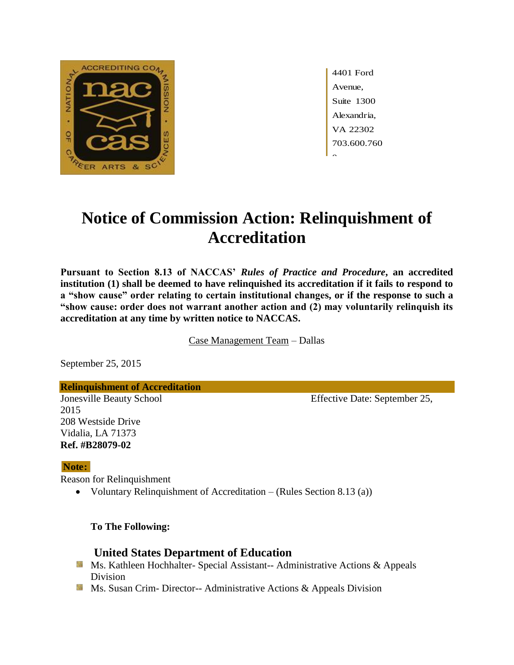

4401 Ford Avenue, Suite 1300 Alexandria, VA 22302 703.600.760  $\hat{ }$ 

# **Notice of Commission Action: Relinquishment of Accreditation**

**Pursuant to Section 8.13 of NACCAS'** *Rules of Practice and Procedure***, an accredited institution (1) shall be deemed to have relinquished its accreditation if it fails to respond to a "show cause" order relating to certain institutional changes, or if the response to such a "show cause: order does not warrant another action and (2) may voluntarily relinquish its accreditation at any time by written notice to NACCAS.**

Case Management Team – Dallas

September 25, 2015

**Relinquishment of Accreditation**

2015 208 Westside Drive Vidalia, LA 71373 **Ref. #B28079-02**

  **Note:**

Reason for Relinquishment

Voluntary Relinquishment of Accreditation – (Rules Section 8.13 (a))

 **To The Following:**

## **United States Department of Education**

- Ms. Kathleen Hochhalter- Special Assistant-- Administrative Actions & Appeals Division
- **MS.** Susan Crim-Director-- Administrative Actions & Appeals Division

Jonesville Beauty School Effective Date: September 25,